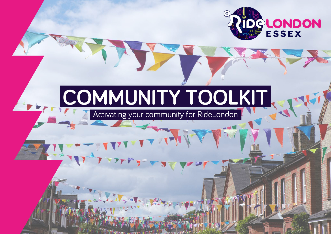

# **COMMUNITY TOOLKIT**

Activating your community for RideLondon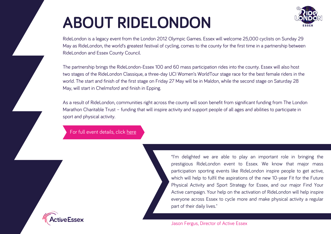# **ABOUT RIDELONDON**



RideLondon is a legacy event from the London 2012 Olympic Games. Essex will welcome 25,000 cyclists on Sunday 29 May as RideLondon, the world's greatest festival of cycling, comes to the county for the first time in a partnership between RideLondon and Essex County Council.

The partnership brings the RideLondon-Essex 100 and 60 mass participation rides into the county. Essex will also host two stages of the RideLondon Classique, a three-day UCI Women's WorldTour stage race for the best female riders in the world. The start and finish of the first stage on Friday 27 May will be in Maldon, while the second stage on Saturday 28 May, will start in Chelmsford and finish in Epping.

As a result of RideLondon, communities right across the county will soon benefit from significant funding from The London Marathon Charitable Trust – funding that will inspire activity and support people of all ages and abilities to participate in sport and physical activity.

For full event details, click [here](https://www.ridelondon.co.uk/)

"I'm delighted we are able to play an important role in bringing the prestigious RideLondon event to Essex. We know that major mass participation sporting events like RideLondon inspire people to get active, which will help to fulfil the aspirations of the new 10-year Fit for the Future Physical Activity and Sport Strategy for Essex, and our major Find Your Active campaign. Your help on the activation of RideLondon will help inspire everyone across Essex to cycle more and make physical activity a regular part of their daily lives."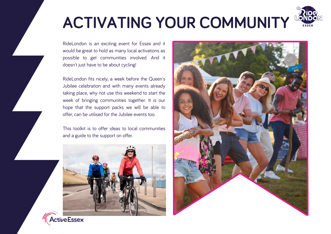

# **ACTIVATING YOUR COMMUNITY**

RideLondon is an exciting event for Essex and it would be great to hold as many local activations as possible to get communities involved. And it doesn't just have to be about cycling!

RideLondon fits nicely, a week before the Queen's Jubilee celebration and with many events already taking place, why not use this weekend to start the week of bringing communities together. It is our hope that the support packs we will be able to offer, can be utilised for the Jubilee events too.

This toolkit is to offer ideas to local communities and a guide to the support on offer.





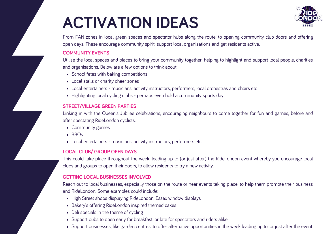# **ACTIVATION IDEAS**



From FAN zones in local green spaces and spectator hubs along the route, to opening community club doors and offering open days. These encourage community spirit, support local organisations and get residents active.

#### **COMMUNITY EVENTS**

Utilise the local spaces and places to bring your community together, helping to highlight and support local people, charities and organisations. Below are a few options to think about:

- School fetes with baking competitions
- Local stalls or charity cheer zones
- Local entertainers musicians, activity instructors, performers, local orchestras and choirs etc
- Highlighting local cycling clubs perhaps even hold a community sports day

### **STREET/VILLAGE GREEN PARTIES**

Linking in with the Queen's Jubilee celebrations, encouraging neighbours to come together for fun and games, before and after spectating RideLondon cyclists.

- Community games
- $-BBOs$
- Local entertainers musicians, activity instructors, performers etc

### **LOCAL CLUB/ GROUP OPEN DAYS**

This could take place throughout the week, leading up to (or just after) the RideLondon event whereby you encourage local clubs and groups to open their doors, to allow residents to try a new activity.

### **GETTING LOCAL BUSINESSES INVOLVED**

Reach out to local businesses, especially those on the route or near events taking place, to help them promote their business and RideLondon. Some examples could include:

- High Street shops displaying RideLondon: Essex window displays
- Bakery's offering RideLondon inspired themed cakes
- Deli specials in the theme of cycling
- Support pubs to open early for breakfast, or late for spectators and riders alike
- Support businesses, like garden centres, to offer alternative opportunities in the week leading up to, or just after the event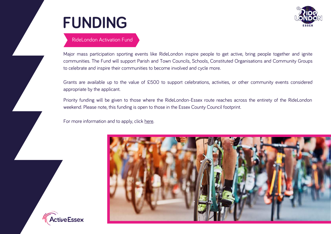



### RideLondon Activation Fund

Major mass participation sporting events like RideLondon inspire people to get active, bring people together and ignite communities. The Fund will support Parish and Town Councils, Schools, Constituted Organisations and Community Groups to celebrate and inspire their communities to become involved and cycle more.

Grants are available up to the value of £500 to support celebrations, activities, or other community events considered appropriate by the applicant.

Priority funding will be given to those where the RideLondon-Essex route reaches across the entirety of the RideLondon weekend. Please note, this funding is open to those in the Essex County Council footprint.

For more information and to apply, click [here](https://www.activeessex.org/ridelondon-essex/activation-fund/).



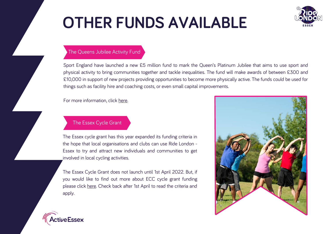# **OTHER FUNDS AVAILABLE**



### The Queens Jubilee Activity Fund

Sport England have launched a new £5 million fund to mark the Queen's Platinum Jubilee that aims to use sport and physical activity to bring communities together and tackle inequalities. The fund will make awards of between £300 and £10,000 in support of new projects providing opportunities to become more physically active. The funds could be used for things such as facility hire and coaching costs, or even small capital improvements.

For more information, click [here.](https://www.sportengland.org/how-we-can-help/our-funds/queens-platinum-jubilee-activity-fund)

### The Essex Cycle Grant

The Essex cycle grant has this year expanded its funding criteria in the hope that local organisations and clubs can use Ride London - Essex to try and attract new individuals and communities to get involved in local cycling activities.

The Essex Cycle Grant does not launch until 1st April 2022. But, if you would like to find out more about ECC cycle grant funding please click [here.](https://www.essexhighways.org/safer-greener-healthier) Check back after 1st April to read the criteria and apply.



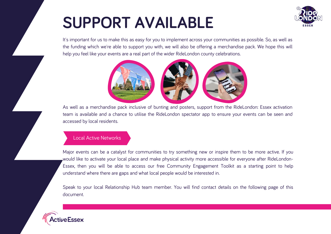# **SUPPORT AVAILABLE**



It's important for us to make this as easy for you to implement across your communities as possible. So, as well as the funding which we're able to support you with, we will also be offering a merchandise pack. We hope this will help you feel like your events are a real part of the wider RideLondon county celebrations.



As well as a merchandise pack inclusive of bunting and posters, support from the RideLondon: Essex activation team is available and a chance to utilise the RideLondon spectator app to ensure your events can be seen and accessed by local residents.

### Local Active Networks

Major events can be a catalyst for communities to try something new or inspire them to be more active. If you would like to activate your local place and make physical activity more accessible for everyone after RideLondon-Essex, then you will be able to access our free Community Engagement Toolkit as a starting point to help understand where there are gaps and what local people would be interested in.

Speak to your local Relationship Hub team member. You will find contact details on the following page of this document.